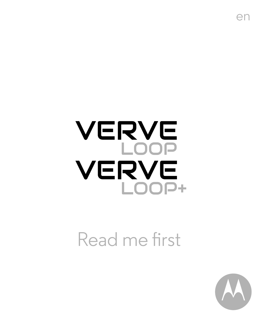# **VERVE** LOOP<br>VERVE  $L$  $O$  $\overline{D}$ +

Read me first



en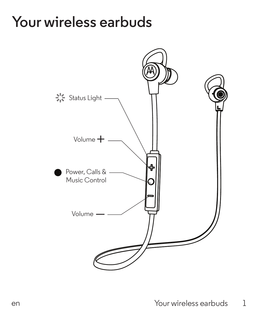#### **Your wireless earbuds**

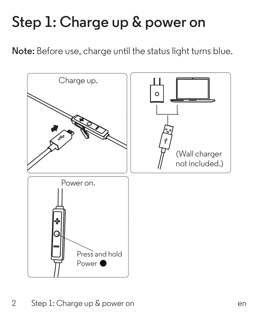# **Step 1: Charge up & power on**

**Note:** Before use, charge until the status light turns blue.



2 Step 1: Charge up & power on the control of the control of the control of the control of the control of the control of the control of the control of the control of the control of the control of the control of the control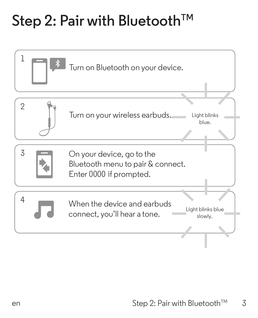### Step 2: Pair with Bluetooth<sup>™</sup>

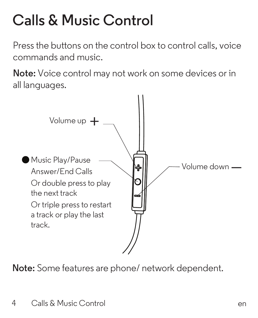# **Calls & Music Control**

Press the buttons on the control box to control calls, voice commands and music.

**Note:** Voice control may not work on some devices or in all languages.



**Note:** Some features are phone/ network dependent.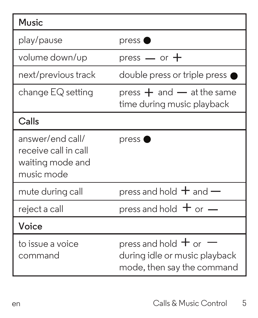| Music                                                                      |                                                                                          |
|----------------------------------------------------------------------------|------------------------------------------------------------------------------------------|
| play/pause                                                                 | press (                                                                                  |
| volume down/up                                                             | press $-$ or $+$                                                                         |
| next/previous track                                                        | double press or triple press                                                             |
| change EQ setting                                                          | press $+$ and $-$ at the same<br>time during music playback                              |
| Calls                                                                      |                                                                                          |
| answer/end call/<br>receive call in call<br>waiting mode and<br>music mode | pres <sup>•</sup>                                                                        |
| mute during call                                                           | press and hold $+$ and $-$                                                               |
| reject a call                                                              | press and hold $+$ or $-$                                                                |
| Voice                                                                      |                                                                                          |
| to issue a voice<br>command                                                | press and hold $+$ or $-$<br>during idle or music playback<br>mode, then say the command |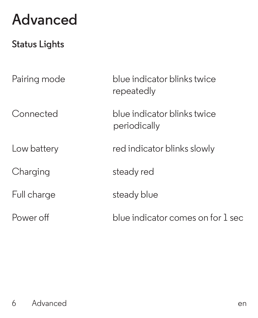#### **Advanced**

#### **Status Lights**

Full charge steady blue

Pairing mode blue indicator blinks twice repeatedly

Connected blue indicator blinks twice periodically

Low battery red indicator blinks slowly

Charging steady red

Power off blue indicator comes on for 1 sec

#### 6 Advanced errors and the series of the series of the series of the series of the series of the series of the series of the series of the series of the series of the series of the series of the series of the series of the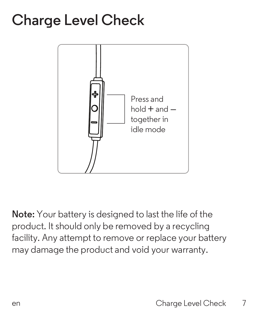#### **Charge Level Check**



**Note:** Your battery is designed to last the life of the product. It should only be removed by a recycling facility. Any attempt to remove or replace your battery may damage the product and void your warranty.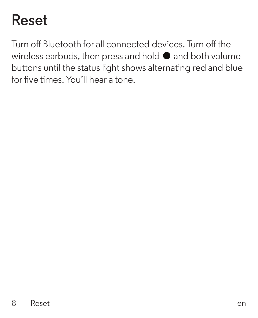### **Reset**

Turn off Bluetooth for all connected devices. Turn off the wireless earbuds, then press and hold  $\bullet$  and both volume buttons until the status light shows alternating red and blue for five times. You'll hear a tone.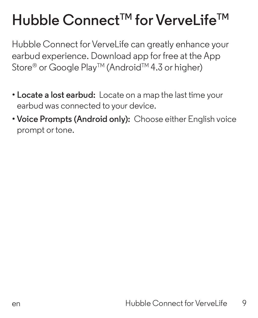### **Hubble ConnectTM for VerveLifeTM**

Hubble Connect for Vervel ife can greatly enhance your earbud experience. Download app for free at the App Store<sup>®</sup> or Google Play<sup>™</sup> (Android<sup>™</sup> 4.3 or higher)

- **Locate a lost earbud:** Locate on a map the last time your earbud was connected to your device.
- **Voice Prompts (Android only):** Choose either English voice prompt or tone.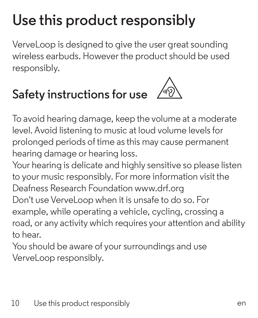# **Use this product responsibly**

Vervel oop is designed to give the user great sounding wireless earbuds. However the product should be used responsibly.

#### **Safety instructions for use**



To avoid hearing damage, keep the volume at a moderate level. Avoid listening to music at loud volume levels for prolonged periods of time asthis may cause permanent hearing damage or hearing loss.

Your hearing is delicate and highly sensitive so please listen to your music responsibly. For more information visit the Deafness Research Foundation www.drf.org Don't use Vervel oop when it is unsafe to do so. For example, while operating a vehicle, cycling, crossing a road, or any activity which requires your attention and ability to hear.

You should be aware of your surroundings and use VerveLoop responsibly.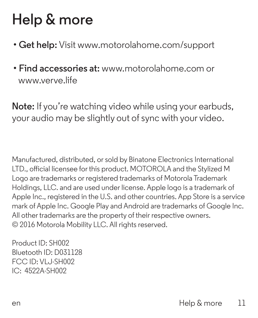# **Help & more**

- **Get help:** Visit www.motorolahome.com/support
- **Find accessories at:** www.motorolahome.com or www.verve.life

**Note:** If you're watching video while using your earbuds, your audio may be slightly out of sync with your video.

Manufactured, distributed, or sold by Binatone Electronics International LTD., official licensee for this product. MOTOROLA and the Stylized M Logo are trademarks or registered trademarks of Motorola Trademark Holdings, LLC. and are used under license. Apple logo is a trademark of Apple Inc., registered in the U.S. and other countries. App Store is a service mark of Apple Inc. Google Play and Android are trademarks of Google Inc. All other trademarks are the property of their respective owners. © 2016 Motorola Mobility LLC. All rights reserved.

Product ID: SH002 Bluetooth ID: D031128 FCC ID: VLJ-SH002 IC: 4522A-SH002